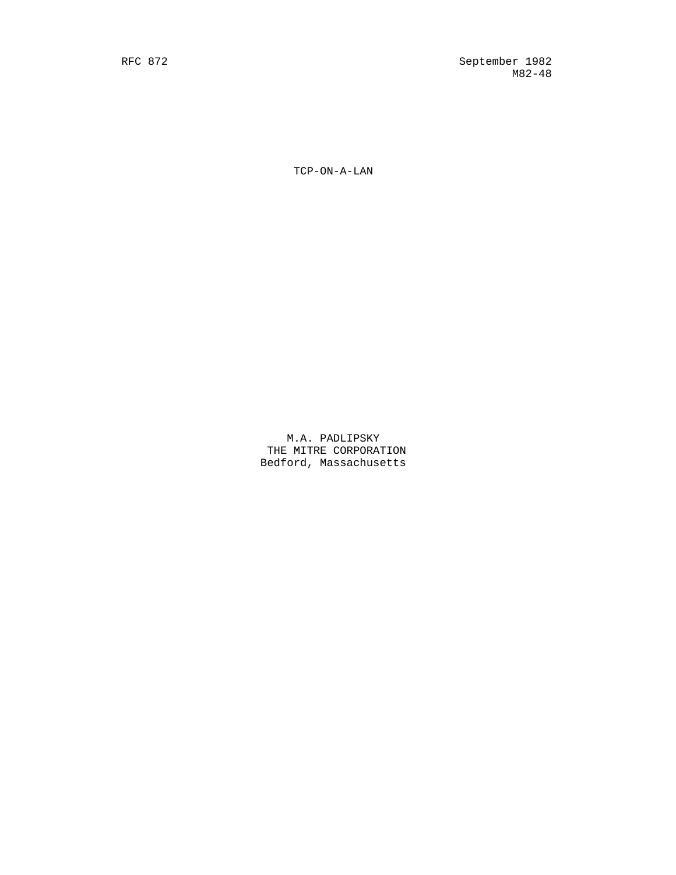TCP-ON-A-LAN

 M.A. PADLIPSKY THE MITRE CORPORATION Bedford, Massachusetts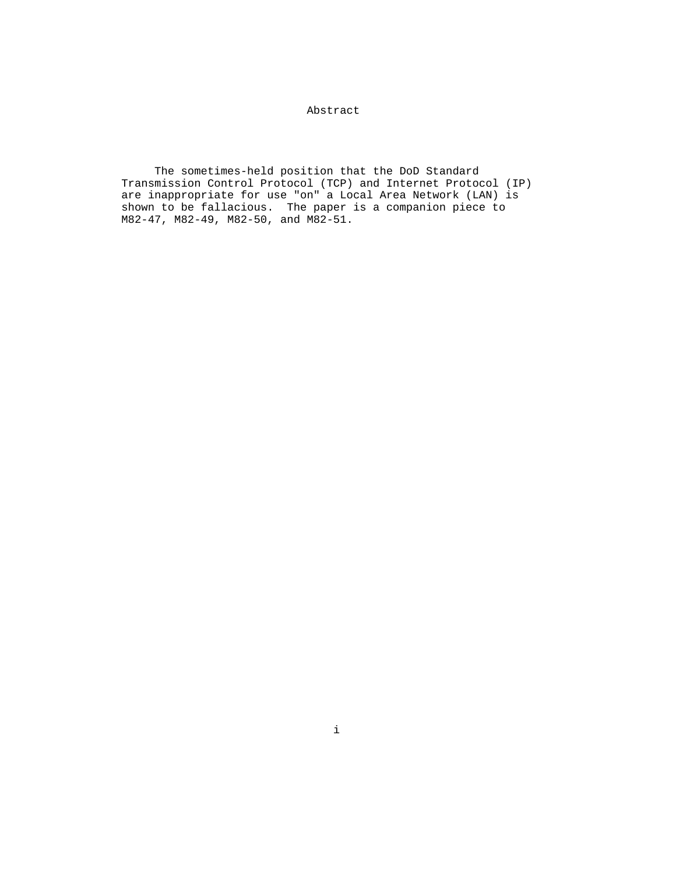# Abstract

 The sometimes-held position that the DoD Standard Transmission Control Protocol (TCP) and Internet Protocol (IP) are inappropriate for use "on" a Local Area Network (LAN) is shown to be fallacious. The paper is a companion piece to M82-47, M82-49, M82-50, and M82-51.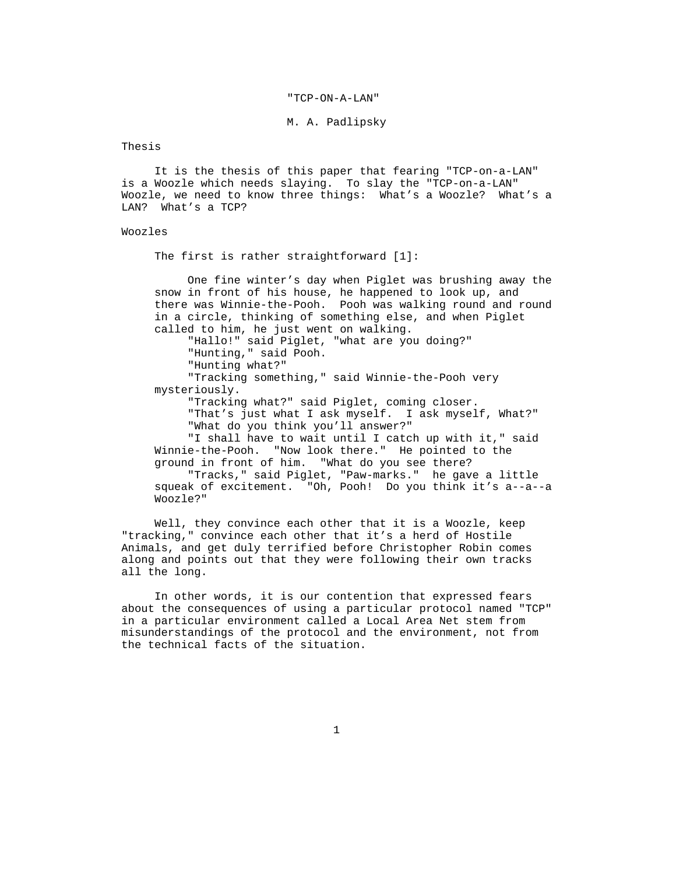#### "TCP-ON-A-LAN"

## M. A. Padlipsky

Thesis

 It is the thesis of this paper that fearing "TCP-on-a-LAN" is a Woozle which needs slaying. To slay the "TCP-on-a-LAN" Woozle, we need to know three things: What's a Woozle? What's a LAN? What's a TCP?

### Woozles

The first is rather straightforward [1]:

 One fine winter's day when Piglet was brushing away the snow in front of his house, he happened to look up, and there was Winnie-the-Pooh. Pooh was walking round and round in a circle, thinking of something else, and when Piglet called to him, he just went on walking.

 "Hallo!" said Piglet, "what are you doing?" "Hunting," said Pooh.

"Hunting what?"

 "Tracking something," said Winnie-the-Pooh very mysteriously.

"Tracking what?" said Piglet, coming closer.

 "That's just what I ask myself. I ask myself, What?" "What do you think you'll answer?"

 "I shall have to wait until I catch up with it," said Winnie-the-Pooh. "Now look there." He pointed to the ground in front of him. "What do you see there?

 "Tracks," said Piglet, "Paw-marks." he gave a little squeak of excitement. "Oh, Pooh! Do you think it's a--a--a Woozle?"

 Well, they convince each other that it is a Woozle, keep "tracking," convince each other that it's a herd of Hostile Animals, and get duly terrified before Christopher Robin comes along and points out that they were following their own tracks all the long.

 In other words, it is our contention that expressed fears about the consequences of using a particular protocol named "TCP" in a particular environment called a Local Area Net stem from misunderstandings of the protocol and the environment, not from the technical facts of the situation.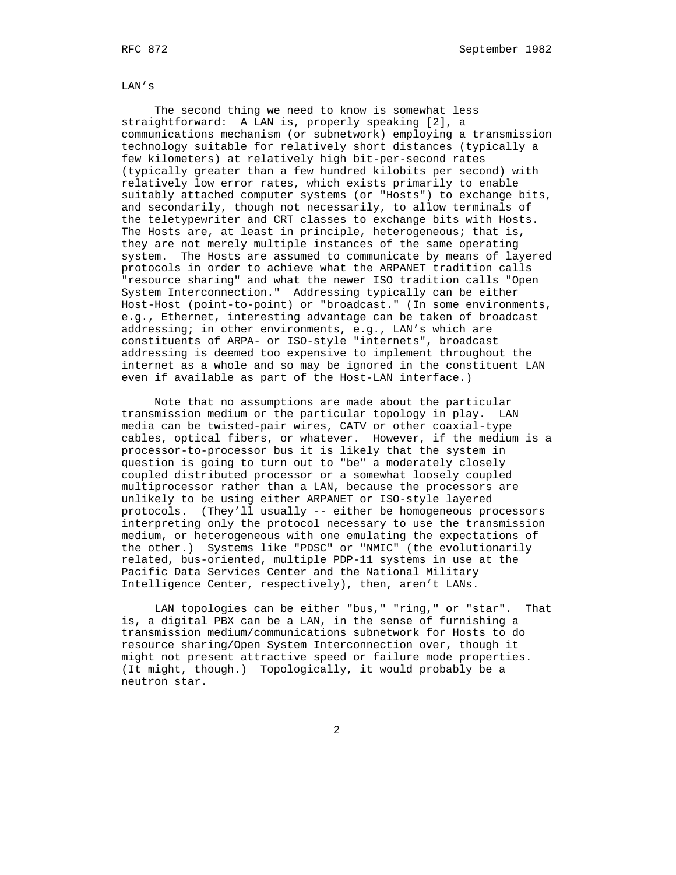LAN's

 The second thing we need to know is somewhat less straightforward: A LAN is, properly speaking [2], a communications mechanism (or subnetwork) employing a transmission technology suitable for relatively short distances (typically a few kilometers) at relatively high bit-per-second rates (typically greater than a few hundred kilobits per second) with relatively low error rates, which exists primarily to enable suitably attached computer systems (or "Hosts") to exchange bits, and secondarily, though not necessarily, to allow terminals of the teletypewriter and CRT classes to exchange bits with Hosts. The Hosts are, at least in principle, heterogeneous; that is, they are not merely multiple instances of the same operating system. The Hosts are assumed to communicate by means of layered protocols in order to achieve what the ARPANET tradition calls "resource sharing" and what the newer ISO tradition calls "Open System Interconnection." Addressing typically can be either Host-Host (point-to-point) or "broadcast." (In some environments, e.g., Ethernet, interesting advantage can be taken of broadcast addressing; in other environments, e.g., LAN's which are constituents of ARPA- or ISO-style "internets", broadcast addressing is deemed too expensive to implement throughout the internet as a whole and so may be ignored in the constituent LAN even if available as part of the Host-LAN interface.)

 Note that no assumptions are made about the particular transmission medium or the particular topology in play. LAN media can be twisted-pair wires, CATV or other coaxial-type cables, optical fibers, or whatever. However, if the medium is a processor-to-processor bus it is likely that the system in question is going to turn out to "be" a moderately closely coupled distributed processor or a somewhat loosely coupled multiprocessor rather than a LAN, because the processors are unlikely to be using either ARPANET or ISO-style layered protocols. (They'll usually -- either be homogeneous processors interpreting only the protocol necessary to use the transmission medium, or heterogeneous with one emulating the expectations of the other.) Systems like "PDSC" or "NMIC" (the evolutionarily related, bus-oriented, multiple PDP-11 systems in use at the Pacific Data Services Center and the National Military Intelligence Center, respectively), then, aren't LANs.

 LAN topologies can be either "bus," "ring," or "star". That is, a digital PBX can be a LAN, in the sense of furnishing a transmission medium/communications subnetwork for Hosts to do resource sharing/Open System Interconnection over, though it might not present attractive speed or failure mode properties. (It might, though.) Topologically, it would probably be a neutron star.

2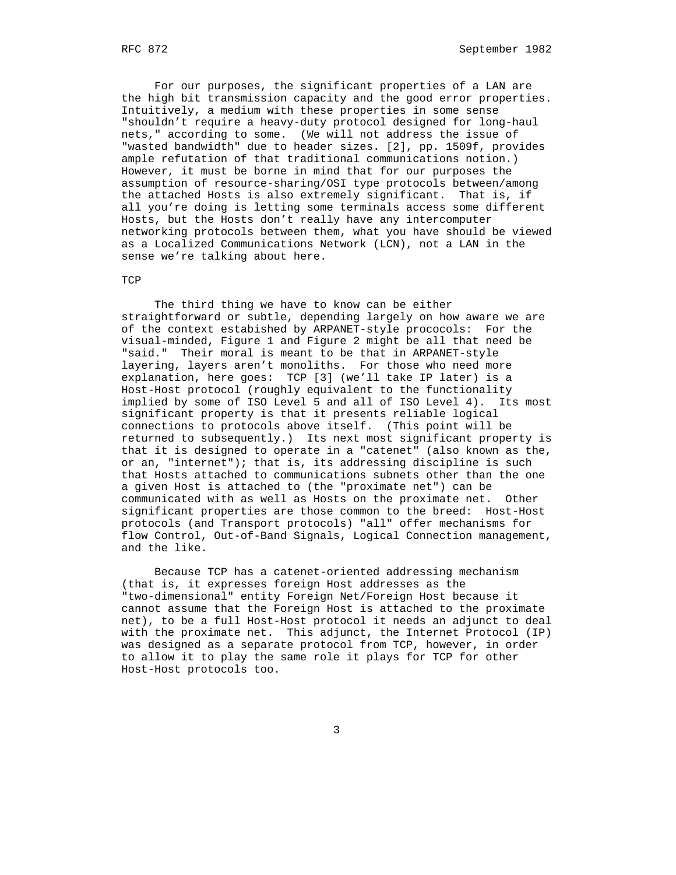For our purposes, the significant properties of a LAN are the high bit transmission capacity and the good error properties. Intuitively, a medium with these properties in some sense "shouldn't require a heavy-duty protocol designed for long-haul nets," according to some. (We will not address the issue of "wasted bandwidth" due to header sizes. [2], pp. 1509f, provides ample refutation of that traditional communications notion.) However, it must be borne in mind that for our purposes the assumption of resource-sharing/OSI type protocols between/among the attached Hosts is also extremely significant. That is, if all you're doing is letting some terminals access some different Hosts, but the Hosts don't really have any intercomputer networking protocols between them, what you have should be viewed as a Localized Communications Network (LCN), not a LAN in the sense we're talking about here.

## **TCP**

 The third thing we have to know can be either straightforward or subtle, depending largely on how aware we are of the context estabished by ARPANET-style prococols: For the visual-minded, Figure 1 and Figure 2 might be all that need be "said." Their moral is meant to be that in ARPANET-style layering, layers aren't monoliths. For those who need more explanation, here goes: TCP [3] (we'll take IP later) is a Host-Host protocol (roughly equivalent to the functionality implied by some of ISO Level 5 and all of ISO Level 4). Its most significant property is that it presents reliable logical connections to protocols above itself. (This point will be returned to subsequently.) Its next most significant property is that it is designed to operate in a "catenet" (also known as the, or an, "internet"); that is, its addressing discipline is such that Hosts attached to communications subnets other than the one a given Host is attached to (the "proximate net") can be communicated with as well as Hosts on the proximate net. Other significant properties are those common to the breed: Host-Host protocols (and Transport protocols) "all" offer mechanisms for flow Control, Out-of-Band Signals, Logical Connection management, and the like.

 Because TCP has a catenet-oriented addressing mechanism (that is, it expresses foreign Host addresses as the "two-dimensional" entity Foreign Net/Foreign Host because it cannot assume that the Foreign Host is attached to the proximate net), to be a full Host-Host protocol it needs an adjunct to deal with the proximate net. This adjunct, the Internet Protocol (IP) was designed as a separate protocol from TCP, however, in order to allow it to play the same role it plays for TCP for other Host-Host protocols too.

 $\sim$  3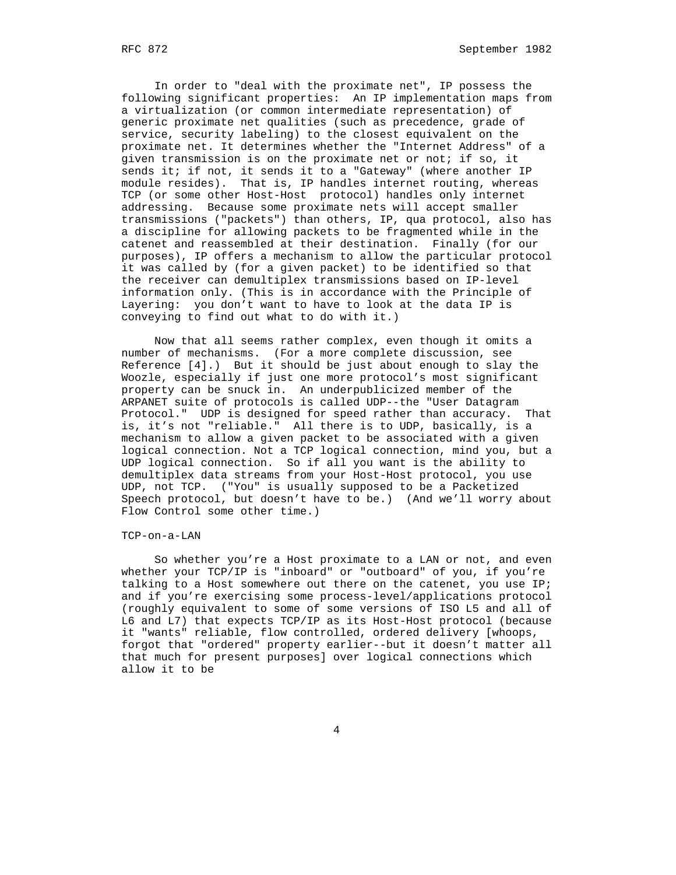In order to "deal with the proximate net", IP possess the following significant properties: An IP implementation maps from a virtualization (or common intermediate representation) of generic proximate net qualities (such as precedence, grade of service, security labeling) to the closest equivalent on the proximate net. It determines whether the "Internet Address" of a given transmission is on the proximate net or not; if so, it sends it; if not, it sends it to a "Gateway" (where another IP module resides). That is, IP handles internet routing, whereas TCP (or some other Host-Host protocol) handles only internet addressing. Because some proximate nets will accept smaller transmissions ("packets") than others, IP, qua protocol, also has a discipline for allowing packets to be fragmented while in the catenet and reassembled at their destination. Finally (for our purposes), IP offers a mechanism to allow the particular protocol it was called by (for a given packet) to be identified so that the receiver can demultiplex transmissions based on IP-level information only. (This is in accordance with the Principle of Layering: you don't want to have to look at the data IP is conveying to find out what to do with it.)

 Now that all seems rather complex, even though it omits a number of mechanisms. (For a more complete discussion, see Reference [4].) But it should be just about enough to slay the Woozle, especially if just one more protocol's most significant property can be snuck in. An underpublicized member of the ARPANET suite of protocols is called UDP--the "User Datagram Protocol." UDP is designed for speed rather than accuracy. That is, it's not "reliable." All there is to UDP, basically, is a mechanism to allow a given packet to be associated with a given logical connection. Not a TCP logical connection, mind you, but a UDP logical connection. So if all you want is the ability to demultiplex data streams from your Host-Host protocol, you use UDP, not TCP. ("You" is usually supposed to be a Packetized Speech protocol, but doesn't have to be.) (And we'll worry about Flow Control some other time.)

#### TCP-on-a-LAN

 So whether you're a Host proximate to a LAN or not, and even whether your TCP/IP is "inboard" or "outboard" of you, if you're talking to a Host somewhere out there on the catenet, you use IP; and if you're exercising some process-level/applications protocol (roughly equivalent to some of some versions of ISO L5 and all of L6 and L7) that expects TCP/IP as its Host-Host protocol (because it "wants" reliable, flow controlled, ordered delivery [whoops, forgot that "ordered" property earlier--but it doesn't matter all that much for present purposes] over logical connections which allow it to be

4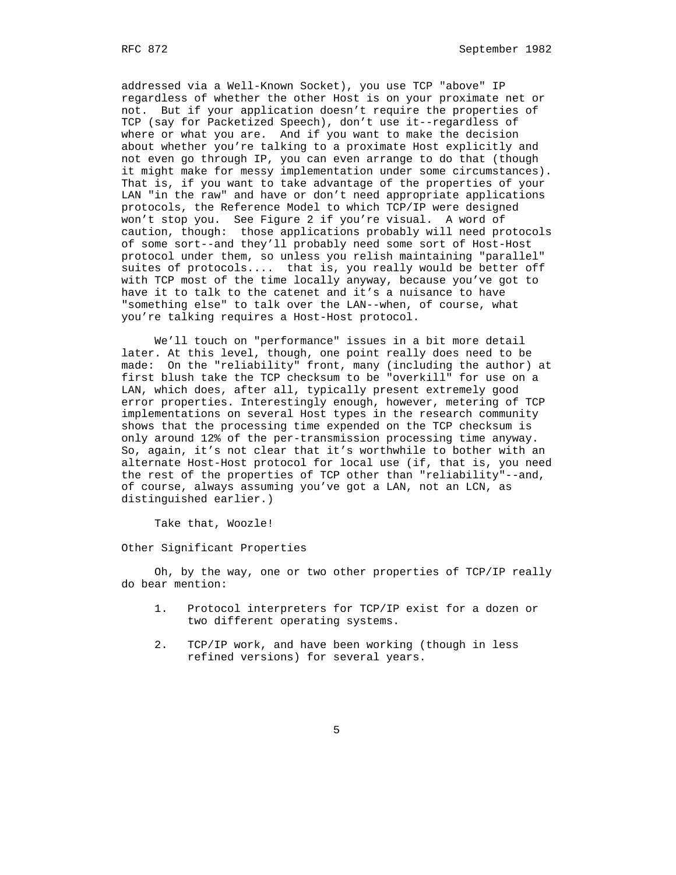addressed via a Well-Known Socket), you use TCP "above" IP regardless of whether the other Host is on your proximate net or not. But if your application doesn't require the properties of TCP (say for Packetized Speech), don't use it--regardless of where or what you are. And if you want to make the decision about whether you're talking to a proximate Host explicitly and not even go through IP, you can even arrange to do that (though it might make for messy implementation under some circumstances). That is, if you want to take advantage of the properties of your LAN "in the raw" and have or don't need appropriate applications protocols, the Reference Model to which TCP/IP were designed won't stop you. See Figure 2 if you're visual. A word of caution, though: those applications probably will need protocols of some sort--and they'll probably need some sort of Host-Host protocol under them, so unless you relish maintaining "parallel" suites of protocols.... that is, you really would be better off with TCP most of the time locally anyway, because you've got to have it to talk to the catenet and it's a nuisance to have "something else" to talk over the LAN--when, of course, what you're talking requires a Host-Host protocol.

 We'll touch on "performance" issues in a bit more detail later. At this level, though, one point really does need to be made: On the "reliability" front, many (including the author) at first blush take the TCP checksum to be "overkill" for use on a LAN, which does, after all, typically present extremely good error properties. Interestingly enough, however, metering of TCP implementations on several Host types in the research community shows that the processing time expended on the TCP checksum is only around 12% of the per-transmission processing time anyway. So, again, it's not clear that it's worthwhile to bother with an alternate Host-Host protocol for local use (if, that is, you need the rest of the properties of TCP other than "reliability"--and, of course, always assuming you've got a LAN, not an LCN, as distinguished earlier.)

Take that, Woozle!

Other Significant Properties

 Oh, by the way, one or two other properties of TCP/IP really do bear mention:

- 1. Protocol interpreters for TCP/IP exist for a dozen or two different operating systems.
- 2. TCP/IP work, and have been working (though in less refined versions) for several years.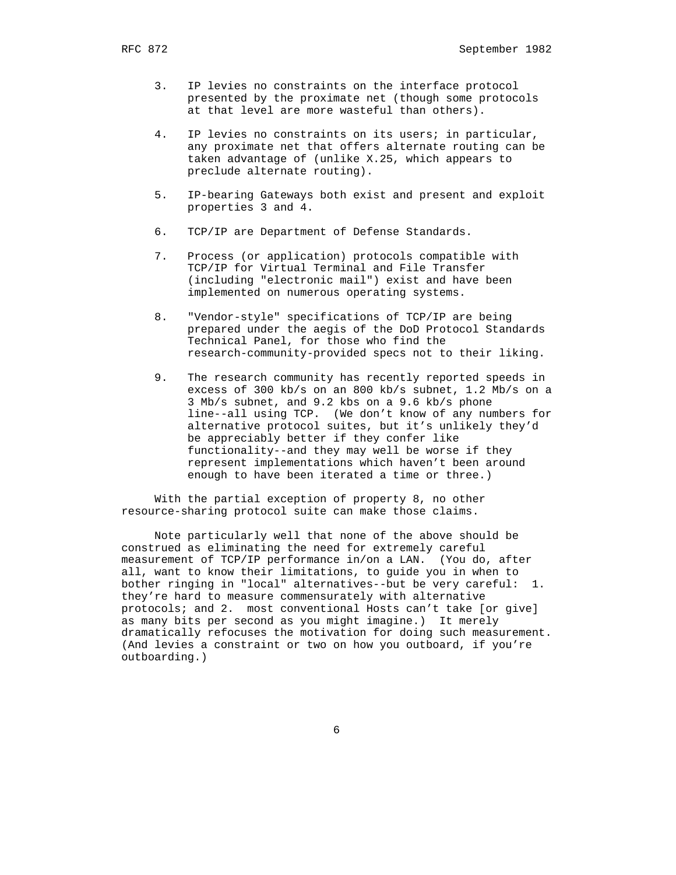- 3. IP levies no constraints on the interface protocol presented by the proximate net (though some protocols at that level are more wasteful than others).
- 4. IP levies no constraints on its users; in particular, any proximate net that offers alternate routing can be taken advantage of (unlike X.25, which appears to preclude alternate routing).
- 5. IP-bearing Gateways both exist and present and exploit properties 3 and 4.
- 6. TCP/IP are Department of Defense Standards.
- 7. Process (or application) protocols compatible with TCP/IP for Virtual Terminal and File Transfer (including "electronic mail") exist and have been implemented on numerous operating systems.
- 8. "Vendor-style" specifications of TCP/IP are being prepared under the aegis of the DoD Protocol Standards Technical Panel, for those who find the research-community-provided specs not to their liking.
- 9. The research community has recently reported speeds in excess of 300 kb/s on an 800 kb/s subnet, 1.2 Mb/s on a 3 Mb/s subnet, and 9.2 kbs on a 9.6 kb/s phone line--all using TCP. (We don't know of any numbers for alternative protocol suites, but it's unlikely they'd be appreciably better if they confer like functionality--and they may well be worse if they represent implementations which haven't been around enough to have been iterated a time or three.)

 With the partial exception of property 8, no other resource-sharing protocol suite can make those claims.

 Note particularly well that none of the above should be construed as eliminating the need for extremely careful measurement of TCP/IP performance in/on a LAN. (You do, after all, want to know their limitations, to guide you in when to bother ringing in "local" alternatives--but be very careful: 1. they're hard to measure commensurately with alternative protocols; and 2. most conventional Hosts can't take [or give] as many bits per second as you might imagine.) It merely dramatically refocuses the motivation for doing such measurement. (And levies a constraint or two on how you outboard, if you're outboarding.)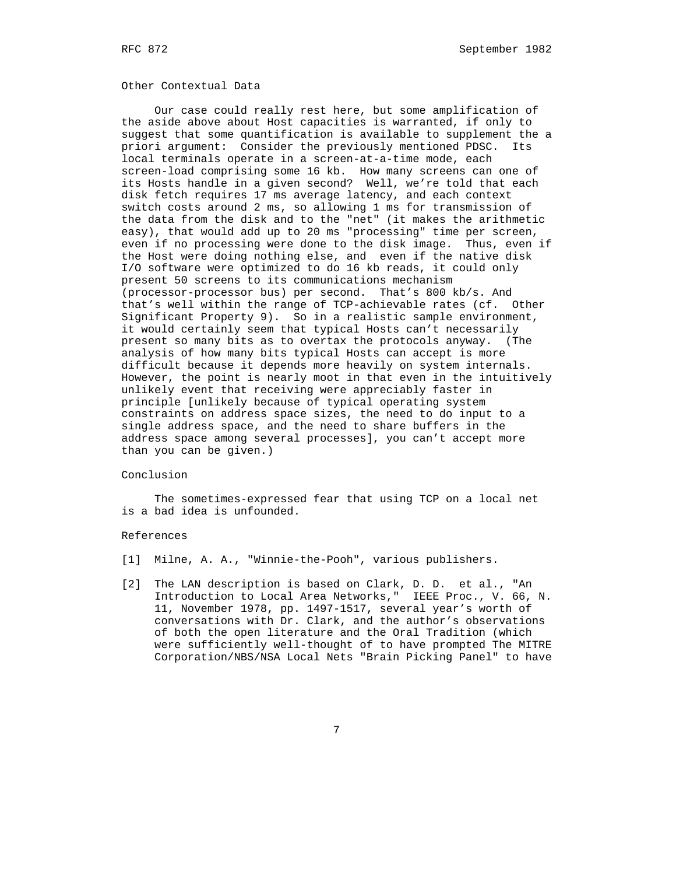## Other Contextual Data

 Our case could really rest here, but some amplification of the aside above about Host capacities is warranted, if only to suggest that some quantification is available to supplement the a priori argument: Consider the previously mentioned PDSC. Its local terminals operate in a screen-at-a-time mode, each screen-load comprising some 16 kb. How many screens can one of its Hosts handle in a given second? Well, we're told that each disk fetch requires 17 ms average latency, and each context switch costs around 2 ms, so allowing 1 ms for transmission of the data from the disk and to the "net" (it makes the arithmetic easy), that would add up to 20 ms "processing" time per screen, even if no processing were done to the disk image. Thus, even if the Host were doing nothing else, and even if the native disk I/O software were optimized to do 16 kb reads, it could only present 50 screens to its communications mechanism (processor-processor bus) per second. That's 800 kb/s. And that's well within the range of TCP-achievable rates (cf. Other Significant Property 9). So in a realistic sample environment, it would certainly seem that typical Hosts can't necessarily present so many bits as to overtax the protocols anyway. (The analysis of how many bits typical Hosts can accept is more difficult because it depends more heavily on system internals. However, the point is nearly moot in that even in the intuitively unlikely event that receiving were appreciably faster in principle [unlikely because of typical operating system constraints on address space sizes, the need to do input to a single address space, and the need to share buffers in the address space among several processes], you can't accept more than you can be given.)

#### Conclusion

 The sometimes-expressed fear that using TCP on a local net is a bad idea is unfounded.

#### References

- [1] Milne, A. A., "Winnie-the-Pooh", various publishers.
- [2] The LAN description is based on Clark, D. D. et al., "An Introduction to Local Area Networks," IEEE Proc., V. 66, N. 11, November 1978, pp. 1497-1517, several year's worth of conversations with Dr. Clark, and the author's observations of both the open literature and the Oral Tradition (which were sufficiently well-thought of to have prompted The MITRE Corporation/NBS/NSA Local Nets "Brain Picking Panel" to have